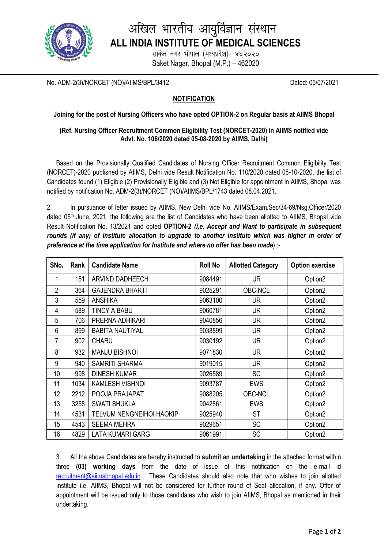

# अखिल भारतीय आयुर्विज्ञान संस्थान **ALL INDIA INSTITUTE OF MEDICAL SCIENCES**

साकेत नगर भोपाल (मध्यप्रदेश)- ४६२०२० Saket Nagar, Bhopal (M.P.) – 462020

No. ADM-2(3)/NORCET (NO)/AIIMS/BPL/3412 Dated: 05/07/2021

### **NOTIFICATION**

#### **Joining for the post of Nursing Officers who have opted OPTION-2 on Regular basis at AIIMS Bhopal**

#### **(Ref. Nursing Officer Recruitment Common Eligibility Test (NORCET-2020) in AIIMS notified vide Advt. No. 106/2020 dated 05-08-2020 by AIIMS, Delhi)**

Based on the Provisionally Qualified Candidates of Nursing Officer Recruitment Common Eligibility Test (NORCET)-2020 published by AIIMS, Delhi vide Result Notification No. 110/2020 dated 08-10-2020, the list of Candidates found (1) Eligible (2) Provisionally Eligible and (3) Not Eligible for appointment in AIIMS, Bhopal was notified by notification No. ADM-2(3)/NORCET (NO)/AIIMS/BPL/1743 dated 08.04.2021.

2. In pursuance of letter issued by AIIMS, New Delhi vide No. AIIMS/Exam.Sec/34-69/Nsg.Officer/2020 dated 05<sup>th</sup> June, 2021, the following are the list of Candidates who have been allotted to AIIMS, Bhopal vide Result Notification No. 13/2021 and opted **OPTION-2** *(i.e. Accept and Want to participate in subsequent rounds (if any) of Institute allocation to upgrade to another Institute which was higher in order of preference at the time application for Institute and where no offer has been made*) :-

| SNo.           | Rank | <b>Candidate Name</b>           | <b>Roll No</b> | <b>Allotted Category</b> | <b>Option exercise</b> |
|----------------|------|---------------------------------|----------------|--------------------------|------------------------|
|                | 151  | ARVIND DADHEECH                 | 9084491        | <b>UR</b>                | Option <sub>2</sub>    |
| $\overline{2}$ | 364  | <b>GAJENDRA BHARTI</b>          | 9025291        | <b>OBC-NCL</b>           | Option <sub>2</sub>    |
| 3              | 559  | <b>ANSHIKA</b>                  | 9063100        | <b>UR</b>                | Option <sub>2</sub>    |
| 4              | 589  | TINCY A BABU                    | 9060781        | <b>UR</b>                | Option <sub>2</sub>    |
| 5              | 706  | PRERNA ADHIKARI                 | 9040856        | <b>UR</b>                | Option <sub>2</sub>    |
| 6              | 899  | <b>BABITA NAUTIYAL</b>          | 9038899        | <b>UR</b>                | Option <sub>2</sub>    |
| $\overline{7}$ | 902  | <b>CHARU</b>                    | 9030192        | <b>UR</b>                | Option <sub>2</sub>    |
| 8              | 932  | <b>MANJU BISHNOI</b>            | 9071830        | <b>UR</b>                | Option <sub>2</sub>    |
| 9              | 940  | <b>SAMRITI SHARMA</b>           | 9019015        | <b>UR</b>                | Option <sub>2</sub>    |
| 10             | 998  | <b>DINESH KUMAR</b>             | 9026589        | <b>SC</b>                | Option <sub>2</sub>    |
| 11             | 1034 | <b>KAMLESH VISHNOI</b>          | 9093787        | <b>EWS</b>               | Option <sub>2</sub>    |
| 12             | 2212 | POOJA PRAJAPAT                  | 9088205        | <b>OBC-NCL</b>           | Option <sub>2</sub>    |
| 13             | 3258 | <b>SWATI SHUKLA</b>             | 9042861        | <b>EWS</b>               | Option <sub>2</sub>    |
| 14             | 4531 | <b>TELVUM NENGNEIHOI HAOKIP</b> | 9025940        | <b>ST</b>                | Option <sub>2</sub>    |
| 15             | 4543 | <b>SEEMA MEHRA</b>              | 9029651        | <b>SC</b>                | Option <sub>2</sub>    |
| 16             | 4829 | <b>LATA KUMARI GARG</b>         | 9061991        | <b>SC</b>                | Option <sub>2</sub>    |

3. All the above Candidates are hereby instructed to **submit an undertaking** in the attached format within three **(03) working days** from the date of issue of this notification on the e-mail id [recruitment@aiimsbhopal.edu.in](mailto:recruitment@aiimsbhopal.edu.in) . These Candidates should also note that who wishes to join allotted Institute i.e. AIIMS, Bhopal will not be considered for further round of Seat allocation, if any. Offer of appointment will be issued only to those candidates who wish to join AIIMS, Bhopal as mentioned in their undertaking.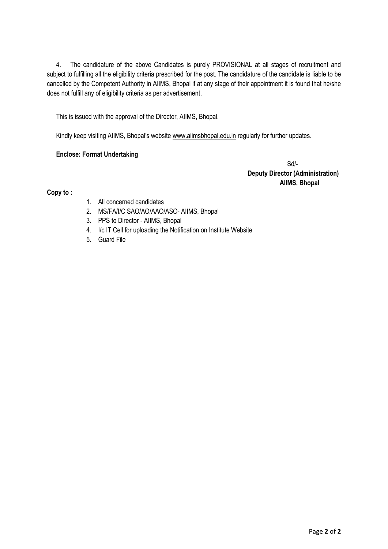4. The candidature of the above Candidates is purely PROVISIONAL at all stages of recruitment and subject to fulfilling all the eligibility criteria prescribed for the post. The candidature of the candidate is liable to be cancelled by the Competent Authority in AIIMS, Bhopal if at any stage of their appointment it is found that he/she does not fulfill any of eligibility criteria as per advertisement.

This is issued with the approval of the Director, AIIMS, Bhopal.

Kindly keep visiting AIIMS, Bhopal's website www.aiimsbhopal.edu.in regularly for further updates.

#### **Enclose: Format Undertaking**

 Sd/- **Deputy Director (Administration) AIIMS, Bhopal**

**Copy to :**

- 1. All concerned candidates
- 2. MS/FA/I/C SAO/AO/AAO/ASO- AIIMS, Bhopal
- 3. PPS to Director AIIMS, Bhopal
- 4. I/c IT Cell for uploading the Notification on Institute Website
- 5. Guard File